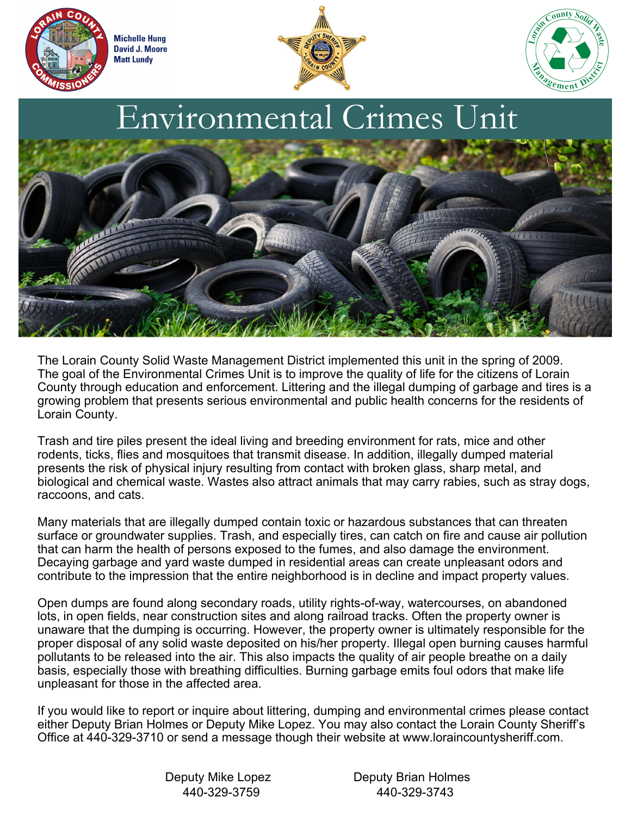

**Michelle Hung David J. Moore Matt Lundy** 







The Lorain County Solid Waste Management District implemented this unit in the spring of 2009. The goal of the Environmental Crimes Unit is to improve the quality of life for the citizens of Lorain County through education and enforcement. Littering and the illegal dumping of garbage and tires is a growing problem that presents serious environmental and public health concerns for the residents of Lorain County.

Trash and tire piles present the ideal living and breeding environment for rats, mice and other rodents, ticks, flies and mosquitoes that transmit disease. In addition, illegally dumped material presents the risk of physical injury resulting from contact with broken glass, sharp metal, and biological and chemical waste. Wastes also attract animals that may carry rabies, such as stray dogs, raccoons, and cats.

Many materials that are illegally dumped contain toxic or hazardous substances that can threaten surface or groundwater supplies. Trash, and especially tires, can catch on fire and cause air pollution that can harm the health of persons exposed to the fumes, and also damage the environment. Decaying garbage and yard waste dumped in residential areas can create unpleasant odors and contribute to the impression that the entire neighborhood is in decline and impact property values.

Open dumps are found along secondary roads, utility rights-of-way, watercourses, on abandoned lots, in open fields, near construction sites and along railroad tracks. Often the property owner is unaware that the dumping is occurring. However, the property owner is ultimately responsible for the proper disposal of any solid waste deposited on his/her property. Illegal open burning causes harmful pollutants to be released into the air. This also impacts the quality of air people breathe on a daily basis, especially those with breathing difficulties. Burning garbage emits foul odors that make life unpleasant for those in the affected area.

If you would like to report or inquire about littering, dumping and environmental crimes please contact either Deputy Brian Holmes or Deputy Mike Lopez. You may also contact the Lorain County Sheriff's Office at 440-329-3710 or send a message though their website at www.loraincountysheriff.com.

Deputy Mike Lopez Deputy Brian Holmes 440-329-3759 440-329-3743